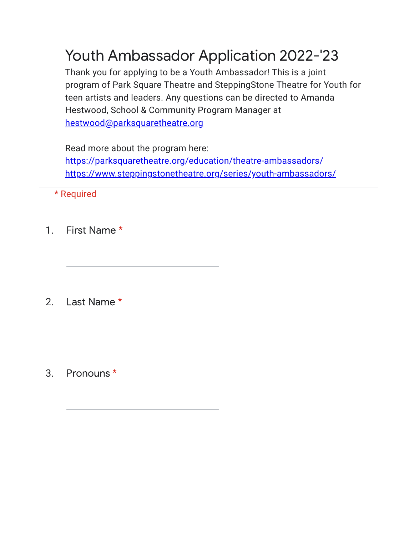## Youth Ambassador Application 2022-'23

Thank you for applying to be a Youth Ambassador! This is a joint program of Park Square Theatre and SteppingStone Theatre for Youth for teen artists and leaders. Any questions can be directed to Amanda Hestwood, School & Community Program Manager at [hestwood@parksquaretheatre.org](mailto:hestwood@parksquaretheatre.org)

Read more about the program here: [https://parksquaretheatre.org/education/theatre-ambassadors/](https://www.google.com/url?q=https://parksquaretheatre.org/education/theatre-ambassadors/&sa=D&source=editors&ust=1646242859605256&usg=AOvVaw2J5088Wy8RGi7qZtUj_iPK) [https://www.steppingstonetheatre.org/series/youth-ambassadors/](https://www.google.com/url?q=https://www.steppingstonetheatre.org/series/youth-ambassadors/&sa=D&source=editors&ust=1646242859605346&usg=AOvVaw1v9rbpkmWFoZh-68Bvogju)

\* Required

1. First Name \*

2. Last Name \*

3. Pronouns \*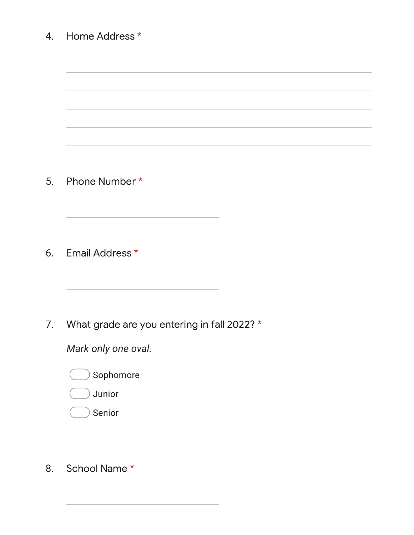| Home Address *                              |
|---------------------------------------------|
|                                             |
|                                             |
| Phone Number *                              |
| Email Address *                             |
| What grade are you entering in fall 2022? * |
| Mark only one oval.                         |
| Sophomore                                   |
| Junior                                      |
|                                             |

8. School Name \*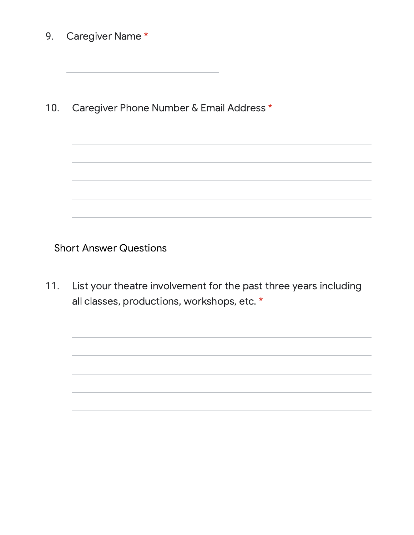9. Caregiver Name \*

10. Caregiver Phone Number & Email Address \*

Short Answer Questions

11. List your theatre involvement for the past three years including all classes, productions, workshops, etc. \*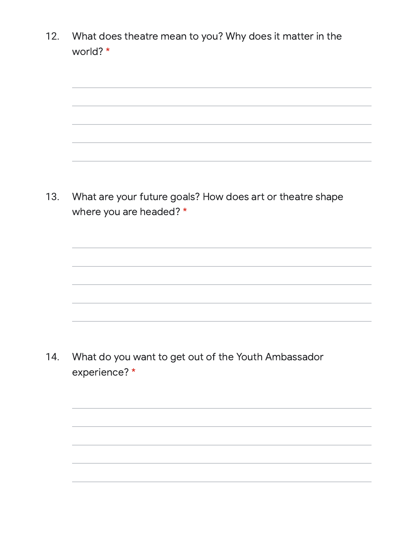12. What does theatre mean to you? Why does it matter in the world? \*

13. What are your future goals? How does art or theatre shape where you are headed? \*

14. What do you want to get out of the Youth Ambassador experience? \*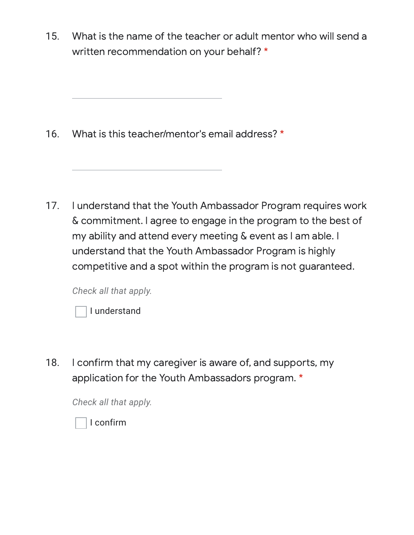15. What is the name of the teacher or adult mentor who will send a written recommendation on your behalf? \*

16. What is this teacher/mentor's email address? \*

17. I understand that the Youth Ambassador Program requires work & commitment. I agree to engage in the program to the best of my ability and attend every meeting & event as I am able. I understand that the Youth Ambassador Program is highly competitive and a spot within the program is not guaranteed.

*Check all that apply.*

18. I confirm that my caregiver is aware of, and supports, my application for the Youth Ambassadors program. \*

*Check all that apply.*

I confirm